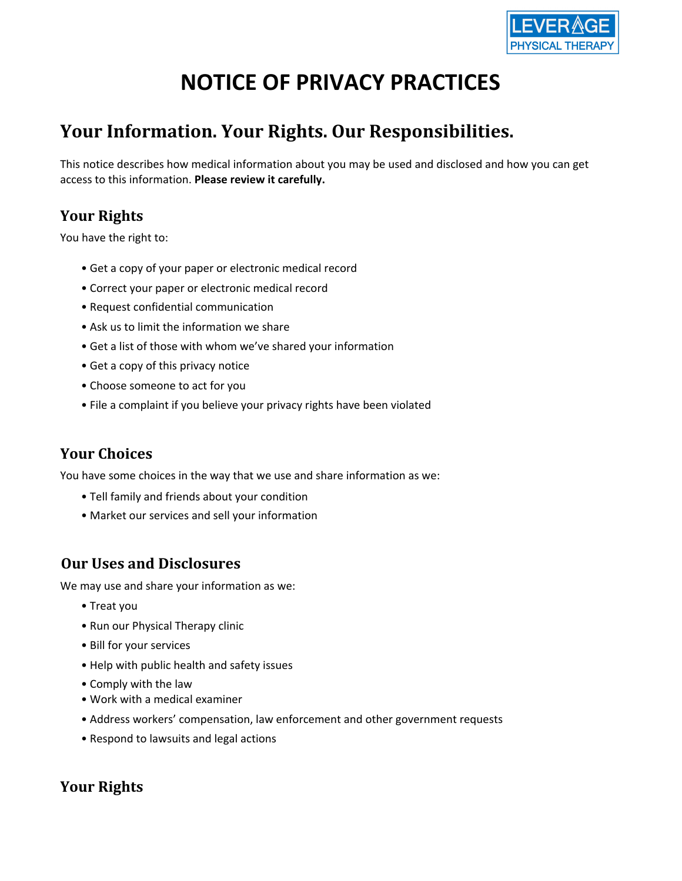

# **NOTICE OF PRIVACY PRACTICES**

## **Your Information. Your Rights. Our Responsibilities.**

This notice describes how medical information about you may be used and disclosed and how you can get access to this information. **Please review it carefully.**

### **Your Rights**

You have the right to:

- Get a copy of your paper or electronic medical record
- Correct your paper or electronic medical record
- Request confidential communication
- Ask us to limit the information we share
- Get a list of those with whom we've shared your information
- Get a copy of this privacy notice
- Choose someone to act for you
- File a complaint if you believe your privacy rights have been violated

### **Your Choices**

You have some choices in the way that we use and share information as we:

- Tell family and friends about your condition
- Market our services and sell your information

### **Our Uses and Disclosures**

We may use and share your information as we:

- Treat you
- Run our Physical Therapy clinic
- Bill for your services
- Help with public health and safety issues
- Comply with the law
- Work with a medical examiner
- Address workers' compensation, law enforcement and other government requests
- Respond to lawsuits and legal actions

### **Your Rights**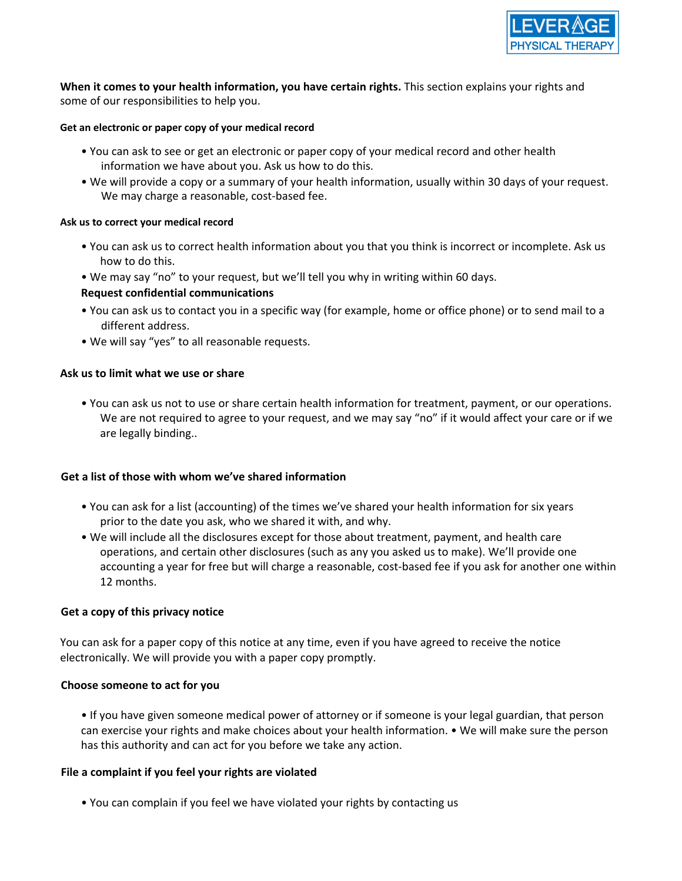

**When it comes to your health information, you have certain rights.** This section explains your rights and some of our responsibilities to help you.

### **Get an electronic or paper copy of your medical record**

- You can ask to see or get an electronic or paper copy of your medical record and other health information we have about you. Ask us how to do this.
- We will provide a copy or a summary of your health information, usually within 30 days of your request. We may charge a reasonable, cost-based fee.

#### **Ask us to correct your medical record**

- You can ask us to correct health information about you that you think is incorrect or incomplete. Ask us how to do this.
- We may say "no" to your request, but we'll tell you why in writing within 60 days.

### **Request confidential communications**

- You can ask us to contact you in a specific way (for example, home or office phone) or to send mail to a different address.
- We will say "yes" to all reasonable requests.

### **Ask us to limit what we use or share**

• You can ask us not to use or share certain health information for treatment, payment, or our operations. We are not required to agree to your request, and we may say "no" if it would affect your care or if we are legally binding..

### **Get a list of those with whom we've shared information**

- You can ask for a list (accounting) of the times we've shared your health information for six years prior to the date you ask, who we shared it with, and why.
- We will include all the disclosures except for those about treatment, payment, and health care operations, and certain other disclosures (such as any you asked us to make). We'll provide one accounting a year for free but will charge a reasonable, cost-based fee if you ask for another one within 12 months.

### **Get a copy of this privacy notice**

You can ask for a paper copy of this notice at any time, even if you have agreed to receive the notice electronically. We will provide you with a paper copy promptly.

### **Choose someone to act for you**

• If you have given someone medical power of attorney or if someone is your legal guardian, that person can exercise your rights and make choices about your health information. • We will make sure the person has this authority and can act for you before we take any action.

### **File a complaint if you feel your rights are violated**

• You can complain if you feel we have violated your rights by contacting us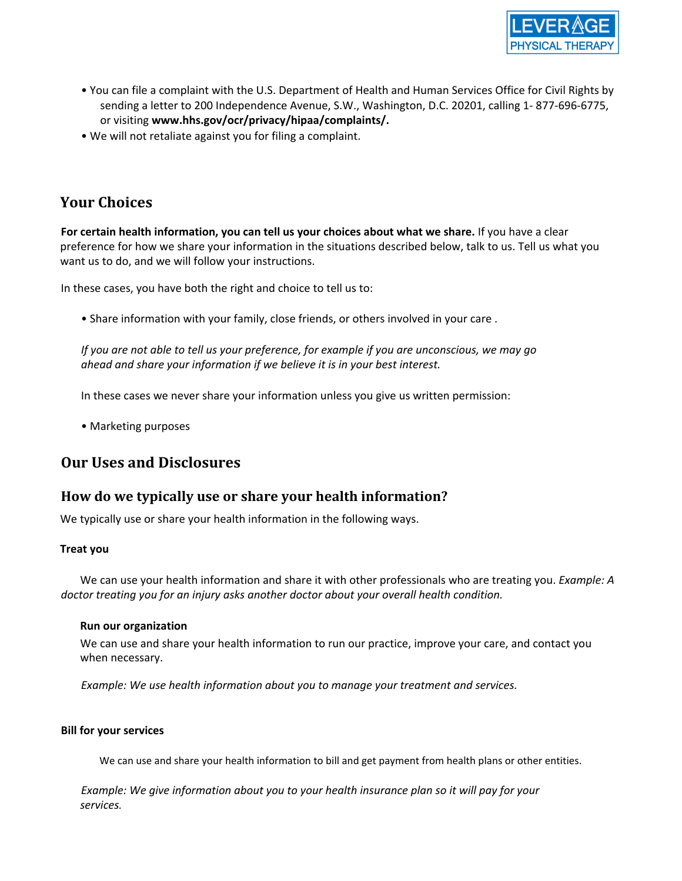

- You can file a complaint with the U.S. Department of Health and Human Services Office for Civil Rights by sending a letter to 200 Independence Avenue, S.W., Washington, D.C. 20201, calling 1- 877-696-6775, or visiting **www.hhs.gov/ocr/privacy/hipaa/complaints/.**
- We will not retaliate against you for filing a complaint.

### **Your Choices**

**For certain health information, you can tell us your choices about what we share.** If you have a clear preference for how we share your information in the situations described below, talk to us. Tell us what you want us to do, and we will follow your instructions.

In these cases, you have both the right and choice to tell us to:

• Share information with your family, close friends, or others involved in your care .

If you are not able to tell us your preference, for example if you are unconscious, we may go *ahead and share your information if we believe it is in your best interest.*

In these cases we never share your information unless you give us written permission:

• Marketing purposes

### **Our Uses and Disclosures**

### **How do we typically use or share your health information?**

We typically use or share your health information in the following ways.

### **Treat you**

We can use your health information and share it with other professionals who are treating you. *Example: A doctor treating you for an injury asks another doctor about your overall health condition.*

### **Run our organization**

We can use and share your health information to run our practice, improve your care, and contact you when necessary.

*Example: We use health information about you to manage your treatment and services.*

### **Bill for your services**

We can use and share your health information to bill and get payment from health plans or other entities.

*Example: We give information about you to your health insurance plan so it will pay for your services.*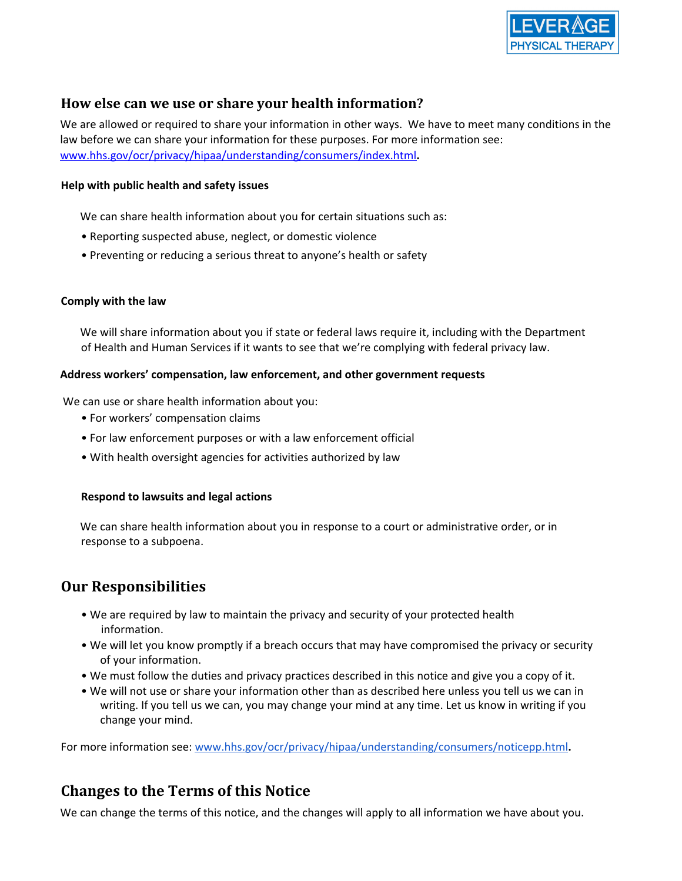

### **How else can we use or share your health information?**

We are allowed or required to share your information in other ways. We have to meet many conditions in the law before we can share your information for these purposes. For more information see: www.hhs.gov/ocr/privacy/hipaa/understanding/consumers/index.html**.**

### **Help with public health and safety issues**

We can share health information about you for certain situations such as:

- Reporting suspected abuse, neglect, or domestic violence
- Preventing or reducing a serious threat to anyone's health or safety

### **Comply with the law**

We will share information about you if state or federal laws require it, including with the Department of Health and Human Services if it wants to see that we're complying with federal privacy law.

### **Address workers' compensation, law enforcement, and other government requests**

We can use or share health information about you:

- For workers' compensation claims
- For law enforcement purposes or with a law enforcement official
- With health oversight agencies for activities authorized by law

### **Respond to lawsuits and legal actions**

We can share health information about you in response to a court or administrative order, or in response to a subpoena.

### **Our Responsibilities**

- We are required by law to maintain the privacy and security of your protected health information.
- We will let you know promptly if a breach occurs that may have compromised the privacy or security of your information.
- We must follow the duties and privacy practices described in this notice and give you a copy of it.
- We will not use or share your information other than as described here unless you tell us we can in writing. If you tell us we can, you may change your mind at any time. Let us know in writing if you change your mind.

For more information see: [www.hhs.gov/ocr/privacy/hipaa/understanding/consumers/noticepp.html](http://www.hhs.gov/ocr/privacy/hipaa/understanding/consumers/noticepp.html)**.**

### **Changes to the Terms of this Notice**

We can change the terms of this notice, and the changes will apply to all information we have about you.